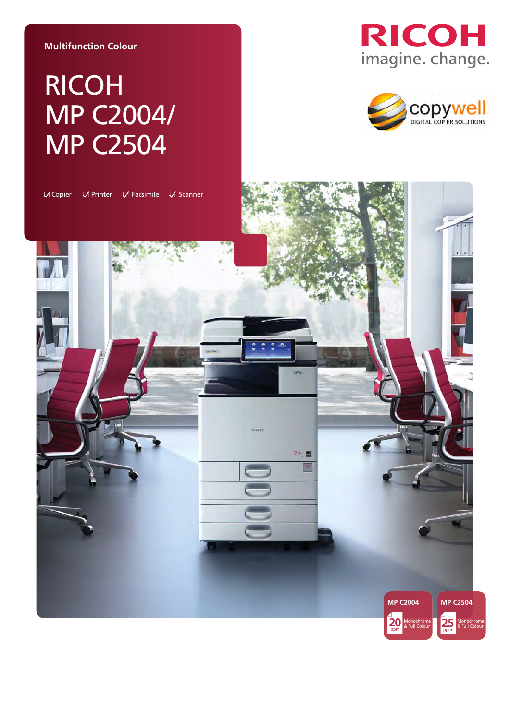#### **Multifunction Colour**

# RICOH MP C2004/ MP C2504





 $\mathbb Z$  Copier  $\nabla$  Printer  $\nabla$  Facsimile  $\nabla$  Scanner

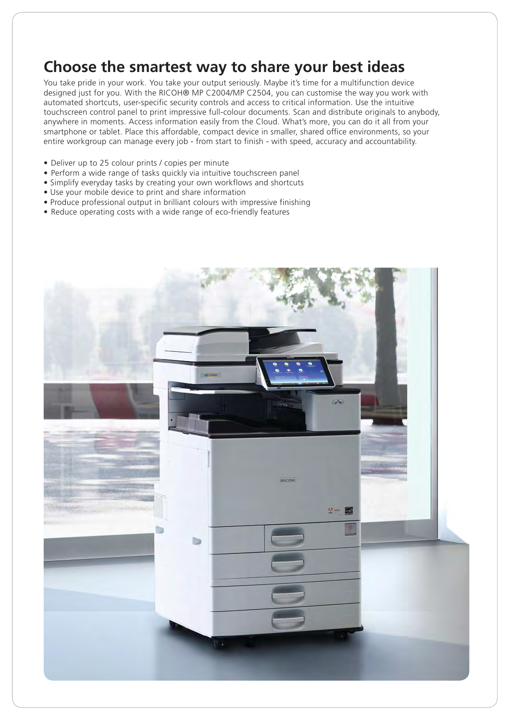## **Choose the smartest way to share your best ideas**

You take pride in your work. You take your output seriously. Maybe it's time for a multifunction device designed just for you. With the RICOH® MP C2004/MP C2504, you can customise the way you work with automated shortcuts, user-specific security controls and access to critical information. Use the intuitive touchscreen control panel to print impressive full-colour documents. Scan and distribute originals to anybody, anywhere in moments. Access information easily from the Cloud. What's more, you can do it all from your smartphone or tablet. Place this affordable, compact device in smaller, shared office environments, so your entire workgroup can manage every job - from start to finish - with speed, accuracy and accountability.

- Deliver up to 25 colour prints / copies per minute
- Perform a wide range of tasks quickly via intuitive touchscreen panel
- Simplify everyday tasks by creating your own workflows and shortcuts
- Use your mobile device to print and share information
- Produce professional output in brilliant colours with impressive finishing
- Reduce operating costs with a wide range of eco-friendly features

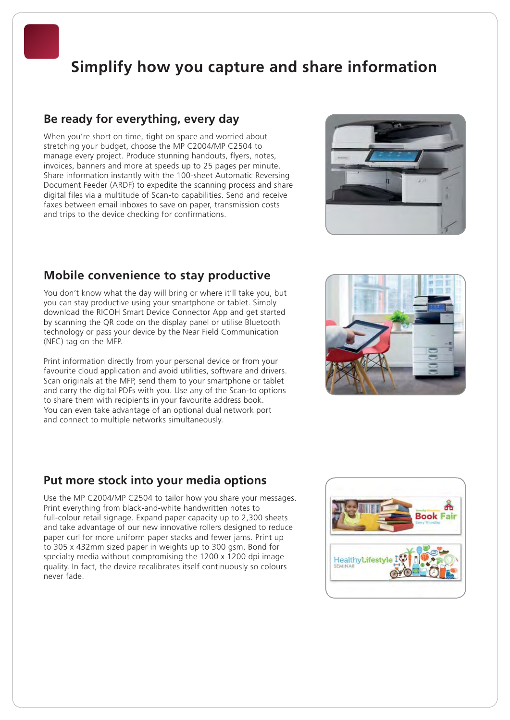## **Simplify how you capture and share information**

### **Be ready for everything, every day**

When you're short on time, tight on space and worried about stretching your budget, choose the MP C2004/MP C2504 to manage every project. Produce stunning handouts, flyers, notes, invoices, banners and more at speeds up to 25 pages per minute. Share information instantly with the 100-sheet Automatic Reversing Document Feeder (ARDF) to expedite the scanning process and share digital files via a multitude of Scan-to capabilities. Send and receive faxes between email inboxes to save on paper, transmission costs and trips to the device checking for confirmations.



## **Mobile convenience to stay productive**

You don't know what the day will bring or where it'll take you, but you can stay productive using your smartphone or tablet. Simply download the RICOH Smart Device Connector App and get started by scanning the QR code on the display panel or utilise Bluetooth technology or pass your device by the Near Field Communication (NFC) tag on the MFP.

Print information directly from your personal device or from your favourite cloud application and avoid utilities, software and drivers. Scan originals at the MFP, send them to your smartphone or tablet and carry the digital PDFs with you. Use any of the Scan-to options to share them with recipients in your favourite address book. You can even take advantage of an optional dual network port and connect to multiple networks simultaneously.

## **Put more stock into your media options**

Use the MP C2004/MP C2504 to tailor how you share your messages. Print everything from black-and-white handwritten notes to full-colour retail signage. Expand paper capacity up to 2,300 sheets and take advantage of our new innovative rollers designed to reduce paper curl for more uniform paper stacks and fewer jams. Print up to 305 x 432mm sized paper in weights up to 300 gsm. Bond for specialty media without compromising the 1200 x 1200 dpi image quality. In fact, the device recalibrates itself continuously so colours never fade.



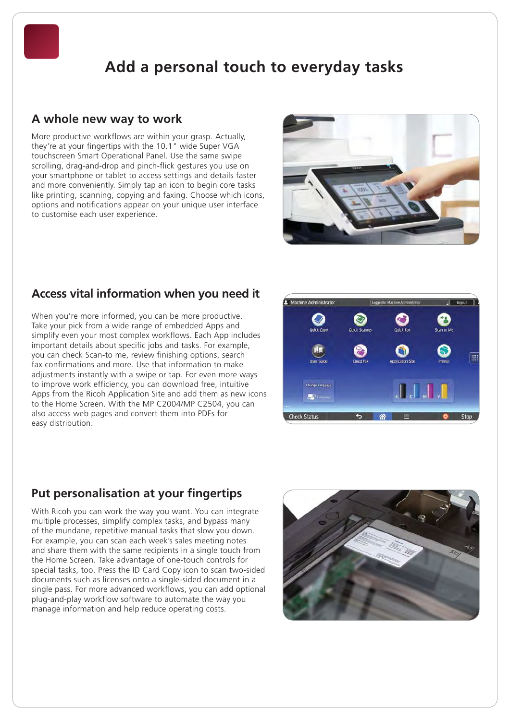## **Add a personal touch to everyday tasks**

## **A whole new way to work**

More productive workflows are within your grasp. Actually, they're at your fingertips with the 10.1" wide Super VGA touchscreen Smart Operational Panel. Use the same swipe scrolling, drag-and-drop and pinch-flick gestures you use on your smartphone or tablet to access settings and details faster and more conveniently. Simply tap an icon to begin core tasks like printing, scanning, copying and faxing. Choose which icons, options and notifications appear on your unique user interface to customise each user experience.



## **Access vital information when you need it**

When you're more informed, you can be more productive. Take your pick from a wide range of embedded Apps and simplify even your most complex workflows. Each App includes important details about specific jobs and tasks. For example, you can check Scan-to me, review finishing options, search fax confirmations and more. Use that information to make adjustments instantly with a swipe or tap. For even more ways to improve work efficiency, you can download free, intuitive Apps from the Ricoh Application Site and add them as new icons to the Home Screen. With the MP C2004/MP C2504, you can also access web pages and convert them into PDFs for easy distribution.



## **Put personalisation at your fingertips**

With Ricoh you can work the way you want. You can integrate multiple processes, simplify complex tasks, and bypass many of the mundane, repetitive manual tasks that slow you down. For example, you can scan each week's sales meeting notes and share them with the same recipients in a single touch from the Home Screen. Take advantage of one-touch controls for special tasks, too. Press the ID Card Copy icon to scan two-sided documents such as licenses onto a single-sided document in a single pass. For more advanced workflows, you can add optional plug-and-play workflow software to automate the way you manage information and help reduce operating costs.

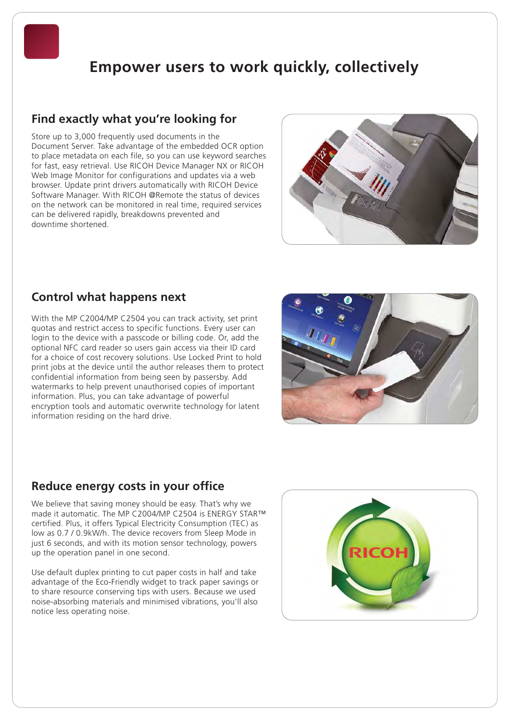## **Empower users to work quickly, collectively**

## **Find exactly what you're looking for**

Store up to 3,000 frequently used documents in the Document Server. Take advantage of the embedded OCR option to place metadata on each file, so you can use keyword searches for fast, easy retrieval. Use RICOH Device Manager NX or RICOH Web Image Monitor for configurations and updates via a web browser. Update print drivers automatically with RICOH Device Software Manager. With RICOH @Remote the status of devices on the network can be monitored in real time, required services can be delivered rapidly, breakdowns prevented and downtime shortened.



## **Control what happens next**

With the MP C2004/MP C2504 you can track activity, set print quotas and restrict access to specific functions. Every user can login to the device with a passcode or billing code. Or, add the optional NFC card reader so users gain access via their ID card for a choice of cost recovery solutions. Use Locked Print to hold print jobs at the device until the author releases them to protect confidential information from being seen by passersby. Add watermarks to help prevent unauthorised copies of important information. Plus, you can take advantage of powerful encryption tools and automatic overwrite technology for latent information residing on the hard drive.



## **Reduce energy costs in your office**

We believe that saving money should be easy. That's why we made it automatic. The MP C2004/MP C2504 is ENERGY STAR™ certified. Plus, it offers Typical Electricity Consumption (TEC) as low as 0.7 / 0.9kW/h. The device recovers from Sleep Mode in just 6 seconds, and with its motion sensor technology, powers up the operation panel in one second.

Use default duplex printing to cut paper costs in half and take advantage of the Eco-Friendly widget to track paper savings or to share resource conserving tips with users. Because we used noise-absorbing materials and minimised vibrations, you'll also notice less operating noise.

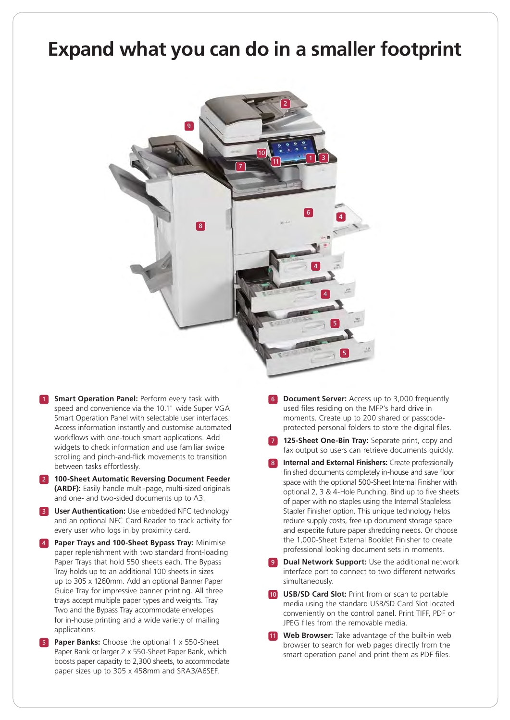## **Expand what you can do in a smaller footprint**



- **1 Smart Operation Panel:** Perform every task with speed and convenience via the 10.1" wide Super VGA Smart Operation Panel with selectable user interfaces. Access information instantly and customise automated workflows with one-touch smart applications. Add widgets to check information and use familiar swipe scrolling and pinch-and-flick movements to transition between tasks effortlessly.
- 2 **100-Sheet Automatic Reversing Document Feeder (ARDF):** Easily handle multi-page, multi-sized originals and one- and two-sided documents up to A3.
- **3 User Authentication:** Use embedded NFC technology and an optional NFC Card Reader to track activity for every user who logs in by proximity card.
- 4 **Paper Trays and 100-Sheet Bypass Tray:** Minimise paper replenishment with two standard front-loading Paper Trays that hold 550 sheets each. The Bypass Tray holds up to an additional 100 sheets in sizes up to 305 x 1260mm. Add an optional Banner Paper Guide Tray for impressive banner printing. All three trays accept multiple paper types and weights. Tray Two and the Bypass Tray accommodate envelopes for in-house printing and a wide variety of mailing applications.
- **Paper Banks:** Choose the optional 1 x 550-Sheet Paper Bank or larger 2 x 550-Sheet Paper Bank, which boosts paper capacity to 2,300 sheets, to accommodate paper sizes up to 305 x 458mm and SRA3/A6SEF.
- **Document Server:** Access up to 3,000 frequently used files residing on the MFP's hard drive in moments. Create up to 200 shared or passcodeprotected personal folders to store the digital files.
- 125-Sheet One-Bin Tray: Separate print, copy and fax output so users can retrieve documents quickly.
- **8 Internal and External Finishers:** Create professionally finished documents completely in-house and save floor space with the optional 500-Sheet Internal Finisher with optional 2, 3 & 4-Hole Punching. Bind up to five sheets of paper with no staples using the Internal Stapleless Stapler Finisher option. This unique technology helps reduce supply costs, free up document storage space and expedite future paper shredding needs. Or choose the 1,000-Sheet External Booklet Finisher to create professional looking document sets in moments.
- **Dual Network Support:** Use the additional network interface port to connect to two different networks simultaneously.
- 10 **USB/SD Card Slot:** Print from or scan to portable media using the standard USB/SD Card Slot located conveniently on the control panel. Print TIFF, PDF or JPEG files from the removable media.
- **11 Web Browser:** Take advantage of the built-in web browser to search for web pages directly from the smart operation panel and print them as PDF files.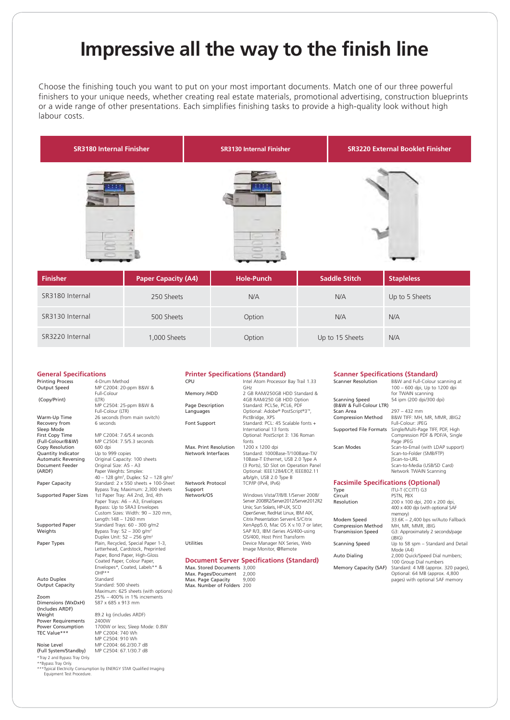## **Impressive all the way to the finish line**

Choose the finishing touch you want to put on your most important documents. Match one of our three powerful finishers to your unique needs, whether creating real estate materials, promotional advertising, construction blueprints or a wide range of other presentations. Each simplifies finishing tasks to provide a high-quality look without high labour costs.



| Finisher        | <b>Paper Capacity (A4)</b> | <b>Hole-Punch</b> | <b>Saddle Stitch</b> | <b>Stapleless</b> |
|-----------------|----------------------------|-------------------|----------------------|-------------------|
| SR3180 Internal | 250 Sheets                 | N/A               | N/A                  | Up to 5 Sheets    |
| SR3130 Internal | 500 Sheets                 | Option            | N/A                  | N/A               |
| SR3220 Internal | 1,000 Sheets               | Option            | Up to 15 Sheets      | N/A               |

| <b>General Specifications</b>           |                                                                                    | <b>Printer Specifica</b>                 |
|-----------------------------------------|------------------------------------------------------------------------------------|------------------------------------------|
| <b>Printing Process</b><br>Output Speed | 4-Drum Method<br>MP C2004: 20-ppm B&W &                                            | CPU                                      |
|                                         | Full-Colour                                                                        | Memory /HDD                              |
| (Copy/Print)                            | (LTR)<br>MP C2504: 25-ppm B&W &<br>Full-Colour (LTR)                               | Page Description<br>Languages            |
| Warm-Up Time                            | 26 seconds (from main switch)                                                      |                                          |
| Recovery from                           | 6 seconds                                                                          | Font Support                             |
| Sleep Mode                              |                                                                                    |                                          |
| First Copy Time                         | MP C2004: 7.6/5.4 seconds                                                          |                                          |
| (Full-Colour/B&W)                       | MP C2504: 7.5/5.3 seconds                                                          |                                          |
| Copy Resolution                         | 600 dpi                                                                            | Max. Print Resolution                    |
| Quantity Indicator                      | Up to 999 copies                                                                   | Network Interfaces                       |
| <b>Automatic Reversing</b>              | Original Capacity: 100 sheets                                                      |                                          |
| Document Feeder                         | Original Size: A5 - A3                                                             |                                          |
| (ARDF)                                  | Paper Weights: Simplex:                                                            |                                          |
|                                         | 40 - 128 g/m <sup>2</sup> , Duplex: 52 - 128 g/m <sup>2</sup>                      |                                          |
| Paper Capacity                          | Standard: 2 x 550 sheets + 100-Sheet                                               | Network Protocol                         |
|                                         | Bypass Tray, Maximum: 2,300 sheets                                                 | Support                                  |
| <b>Supported Paper Sizes</b>            | 1st Paper Tray: A4 2nd, 3rd, 4th                                                   | Network/OS                               |
|                                         | Paper Trays: A6 - A3, Envelopes                                                    |                                          |
|                                         | Bypass: Up to SRA3 Envelopes                                                       |                                          |
|                                         | Custom Sizes: Width: 90 - 320 mm,                                                  |                                          |
|                                         | Length: 148 - 1260 mm                                                              |                                          |
| <b>Supported Paper</b>                  | Standard Trays: 60 - 300 g/m2                                                      |                                          |
| Weights                                 | Bypass Tray: $52 - 300$ g/m <sup>2</sup><br>Duplex Unit: 52 - 256 g/m <sup>2</sup> |                                          |
|                                         |                                                                                    | <b>Utilities</b>                         |
| Paper Types                             | Plain, Recycled, Special Paper 1-3,<br>Letterhead, Cardstock, Preprinted           |                                          |
|                                         | Paper, Bond Paper, High-Gloss                                                      |                                          |
|                                         | Coated Paper, Colour Paper,                                                        | <b>Document Serve</b>                    |
|                                         | Envelopes*, Coated, Labels** &                                                     |                                          |
|                                         | $OHP***$                                                                           | Max. Stored Documer                      |
| Auto Duplex                             | Standard                                                                           | Max. Pages/Documen<br>Max. Page Capacity |
| <b>Output Capacity</b>                  | Standard: 500 sheets                                                               | Max. Number of Fold                      |
|                                         | Maximum: 625 sheets (with options)                                                 |                                          |
| Zoom                                    | 25% - 400% in 1% increments                                                        |                                          |
| Dimensions (WxDxH)                      | 587 x 685 x 913 mm                                                                 |                                          |
| (Includes ARDF)                         |                                                                                    |                                          |
| Weight                                  | 89.2 kg (includes ARDF)                                                            |                                          |
| <b>Power Requirements</b>               | 2400W                                                                              |                                          |
| <b>Power Consumption</b>                | 1700W or less; Sleep Mode: 0.8W                                                    |                                          |
| TEC Value***                            | MP C2004: 740 Wh                                                                   |                                          |
|                                         | MP C2504: 910 Wh                                                                   |                                          |
| Noise Level                             | MP C2004: 66.2/30.7 dB                                                             |                                          |
| (Full System/Standby)                   | MP C2504: 67.1/30.7 dB                                                             |                                          |

\*Tray 2 and Bypass Tray Only.

\*\*Bypass Tray Only.

\*\*\* Typical Electricity Consumption by ENERGY STAR Qualified Imaging Equipment Test Procedure.

#### **Printer Standard)**

| CPU                            | Intel Atom Processor Bay Trail 1.33<br>GHZ                                                                                                                                                                                                                                                                                                                         |
|--------------------------------|--------------------------------------------------------------------------------------------------------------------------------------------------------------------------------------------------------------------------------------------------------------------------------------------------------------------------------------------------------------------|
| Memory /HDD                    | 2 GB RAM/250GB HDD Standard &<br>4GB RAM/250 GB HDD Option                                                                                                                                                                                                                                                                                                         |
| Page Description               | Standard: PCL5e, PCL6, PDF                                                                                                                                                                                                                                                                                                                                         |
| Languages                      | Optional: Adobe® PostScript®3™,<br>PictBridge, XPS                                                                                                                                                                                                                                                                                                                 |
| Font Support                   | Standard: PCL: 45 Scalable fonts +<br>International 13 fonts<br>Optional: PostScript 3: 136 Roman<br>fonts                                                                                                                                                                                                                                                         |
| Max. Print Resolution          | 1200 x 1200 dpi                                                                                                                                                                                                                                                                                                                                                    |
| Network Interfaces             | Standard: 1000Base-T/100Base-TX/<br>10Base-T Ethernet, USB 2.0 Type A<br>(3 Ports), SD Slot on Operation Panel<br>Optional: IEEE1284/ECP, IEEE802.11<br>a/b/g/n, USB 2.0 Type B                                                                                                                                                                                    |
| Network Protocol<br>Support    | TCP/IP (IPv4, IPv6)                                                                                                                                                                                                                                                                                                                                                |
| Network/OS<br><b>Utilities</b> | Windows Vista/7/8/8.1/Server 2008/<br>Server 2008R2/Server2012/Server2012R2<br>Unix; Sun Solaris, HP-UX, SCO<br>OpenServer, RedHat Linux, IBM AIX,<br>Citrix Presentation Server4.5/Citrix<br>XenApp5.0, Mac OS X v.10.7 or later,<br>SAP R/3, IBM iSeries AS/400-using<br>OS/400, Host Print Transform<br>Device Manager NX Series, Web<br>Image Monitor, @Remote |
|                                | <b>Document Server Specifications (Standard)</b>                                                                                                                                                                                                                                                                                                                   |

 $mts$  3,000  $mt = 2,000$  $9.000$  $\frac{5,00}{200}$ 

## **Scanner Specifications (Standard)**<br>Scanner Resolution B&W and Full-Colour s

| <b>Scanner Resolution</b>                 | B&W and Full-Colour scanning at<br>100 - 600 dpi, Up to 1200 dpi<br>for TWAIN scanning                                                |  |
|-------------------------------------------|---------------------------------------------------------------------------------------------------------------------------------------|--|
| Scanning Speed<br>(B&W & Full-Colour LTR) | 54 ipm (200 dpi/300 dpi)                                                                                                              |  |
| Scan Area                                 | $297 - 432$ mm                                                                                                                        |  |
| <b>Compression Method</b>                 | B&W TIFF: MH, MR, MMR, JBIG2<br><b>Full-Colour: JPEG</b>                                                                              |  |
| Supported File Formats                    | Single/Multi-Page TIFF, PDF, High<br>Compression PDF & PDF/A, Single<br>Page JPEG                                                     |  |
| Scan Modes                                | Scan-to-Email (with LDAP support)<br>Scan-to-Folder (SMB/FTP)<br>Scan-to-URL<br>Scan-to-Media (USB/SD Card)<br>Network TWAIN Scanning |  |
|                                           | <b>Facsimile Specifications (Optional)</b>                                                                                            |  |

| Type                      | ITU-T (CCITT) G3                          |
|---------------------------|-------------------------------------------|
| Circuit                   | PSTN, PBX                                 |
| Resolution                | 200 x 100 dpi, 200 x 200 dpi,             |
|                           | 400 x 400 dpi (with optional SAF          |
|                           | memory)                                   |
| Modem Speed               | 33.6K - 2,400 bps w/Auto Fallback         |
| <b>Compression Method</b> | MH. MR. MMR. JBIG                         |
| <b>Transmission Speed</b> | G3: Approximately 2 seconds/page<br>(BIG) |
| <b>Scanning Speed</b>     | Up to 58 spm - Standard and Detail        |
|                           |                                           |
|                           | Mode (A4)                                 |
| Auto Dialing              | 2,000 Quick/Speed Dial numbers;           |
|                           | 100 Group Dial numbers                    |
| Memory Capacity (SAF)     | Standard: 4 MB (approx. 320 pages)        |
|                           | Optional: 64 MB (approx. 4,800            |
|                           | pages) with optional SAF memory           |